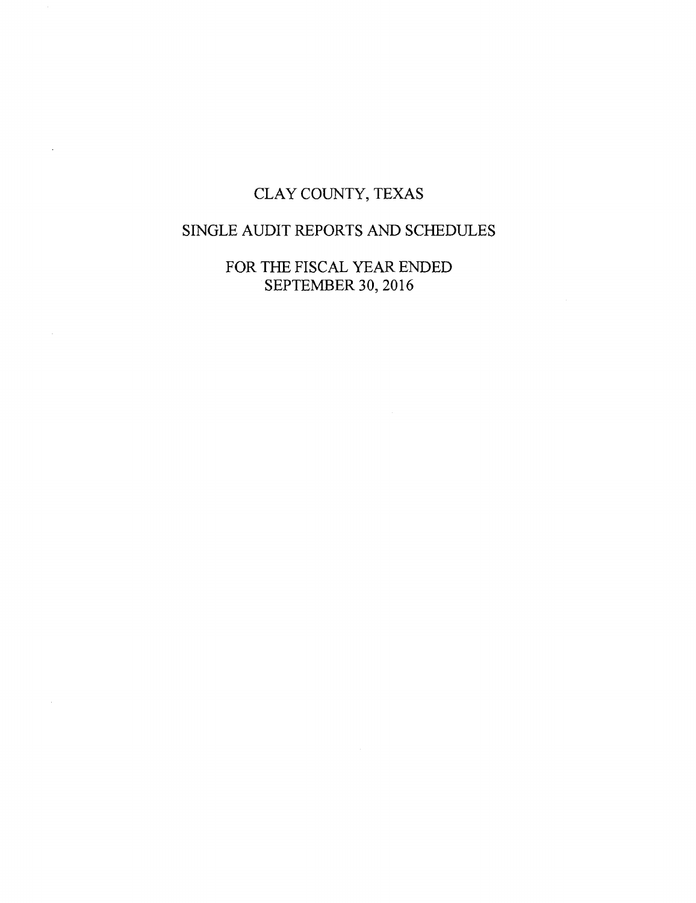# CLAY COUNTY, TEXAS

# SINGLE AUDIT REPORTS AND SCHEDULES

FOR THE FISCAL YEAR ENDED SEPTEMBER 30,2016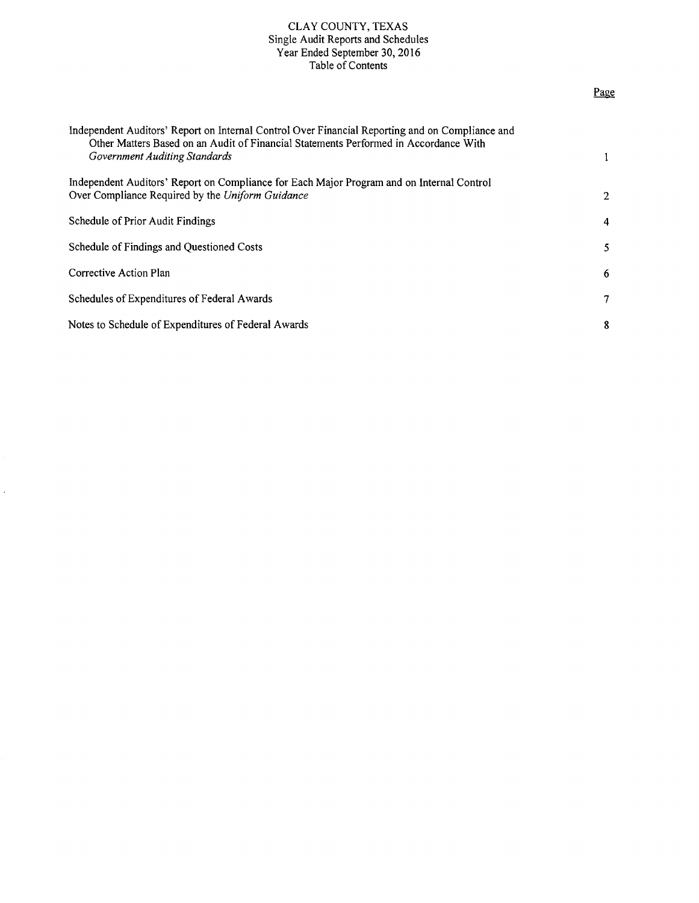### CLAY COUNTY, TEXAS Single Audit Reports and Schedules Year Ended September 30, 2016 Table of Contents

|                                                                                                                                                                                         | <u>rage</u>    |
|-----------------------------------------------------------------------------------------------------------------------------------------------------------------------------------------|----------------|
| Independent Auditors' Report on Internal Control Over Financial Reporting and on Compliance and<br>Other Matters Based on an Audit of Financial Statements Performed in Accordance With |                |
| Government Auditing Standards                                                                                                                                                           |                |
| Independent Auditors' Report on Compliance for Each Major Program and on Internal Control<br>Over Compliance Required by the Uniform Guidance                                           | $\overline{2}$ |
| Schedule of Prior Audit Findings                                                                                                                                                        | 4              |
| Schedule of Findings and Questioned Costs                                                                                                                                               | 5              |
| Corrective Action Plan                                                                                                                                                                  | 6              |
| Schedules of Expenditures of Federal Awards                                                                                                                                             | $\overline{7}$ |
| Notes to Schedule of Expenditures of Federal Awards                                                                                                                                     | 8              |

# Page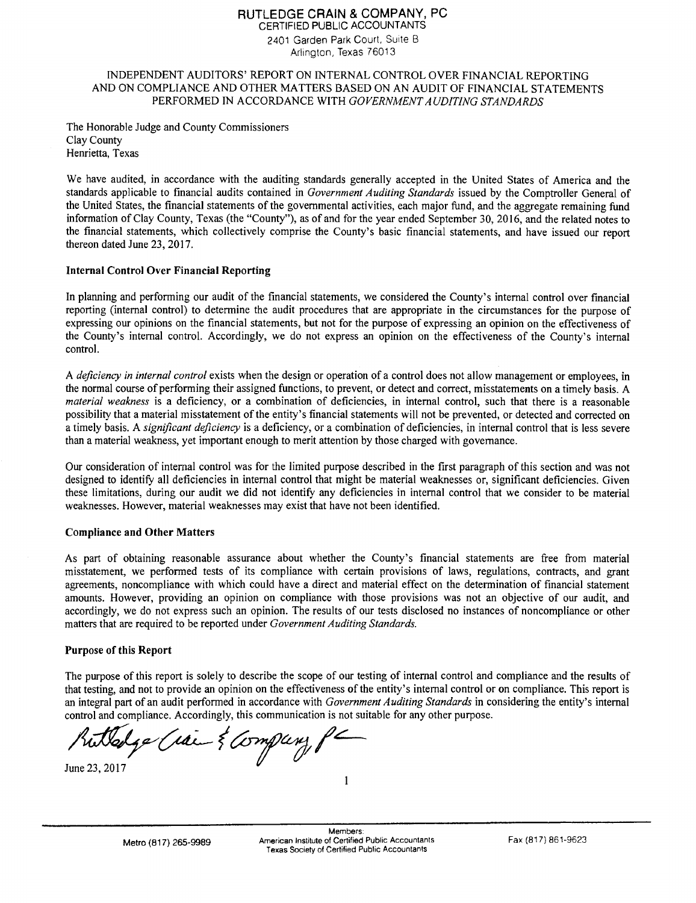#### **RUTLEDGE CRAIN & COMPANY, PC**  CERTIFIED PUBLIC ACCOUNTANTS

2401 Garden Park Court. Suite B Arlington, Texas 76013

#### INDEPENDENT AUDITORS' REPORT ON INTERNAL CONTROL OVER FINANCIAL REPORTING AND ON COMPLIANCE AND OTHER MATTERS BASED ON AN AUDIT OF FINANCIAL STATEMENTS PERFORMED IN ACCORDANCE WITH *GOVERNMENT AUDITING STANDARDS*

The Honorable Judge and County Commissioners Clay County Henrietta, Texas

We have audited, in accordance with the auditing standards generally accepted in the United States of America and the standards applicable to financial audits contained in *Government Auditing Standards* issued by the Comptroller General of the United States, the financial statements of the governmental activities, each major fund, and the aggregate remaining fund information of Clay County, Texas (the "County"), as of and for the year ended September 30, 2016, and the related notes to the financial statements, which collectively comprise the County's basic financial statements, and have issued our report thereon dated June 23, 2017.

#### **Internal Control Over Financial Reporting**

In planning and performing our audit of the financial statements, we considered the County's internal control over financial reporting (internal control) to determine the audit procedures that are appropriate in the circumstances for the purpose of expressing our opinions on the financial statements, but not for the purpose of expressing an opinion on the effectiveness of the County's internal control. Accordingly, we do not express an opinion on the effectiveness of the County's internal control.

A *deficiency in internal control* exists when the design or operation of a control does not allow management or employees, in the normal course of performing their assigned functions, to prevent, or detect and correct, misstatements on a timely basis. A *material weakness* is a deficiency, or a combination of deficiencies, in internal control, such that there is a reasonable possibility that a material misstatement of the entity's financial statements will not be prevented, or detected and corrected on a timely basis. A *significant deficiency* is a deficiency, or a combination of deficiencies, in internal control that is less severe than a material weakness, yet important enough to merit attention by those charged with governance.

Our consideration of internal control was for the limited purpose described in the first paragraph of this section and was not designed to identify all deficiencies in internal control that might be material weaknesses or, significant deficiencies. Given these limitations, during our audit we did not identify any deficiencies in internal control that we consider to be material weaknesses. However, material weaknesses may exist that have not been identified.

#### **Compliance and Other Matters**

As part of obtaining reasonable assurance about whether the County's financial statements are free from material misstatement, we performed tests of its compliance with certain provisions of laws, regulations, contracts, and grant agreements, noncompliance with which could have a direct and material effect on the determination of financial statement amounts. However, providing an opinion on compliance with those provisions was not an objective of our audit, and accordingly, we do not express such an opinion. The results of our tests disclosed no instances of noncompliance or other matters that are required to be reported under *Government Auditing Standards.* 

#### **Purpose of this Report**

The purpose of this report is solely to describe the scope of our testing of internal control and compliance and the results of that testing, and not to provide an opinion on the effectiveness of the entity's internal control or on compliance. This report is an integral part of an audit performed in accordance with *Government Auditing Standards* in considering the entity's internal control and compliance. Accordingly, this communication is not suitable for any other purpose.

Autholge Cian & Company  $f$ 

 $\mathbf{1}$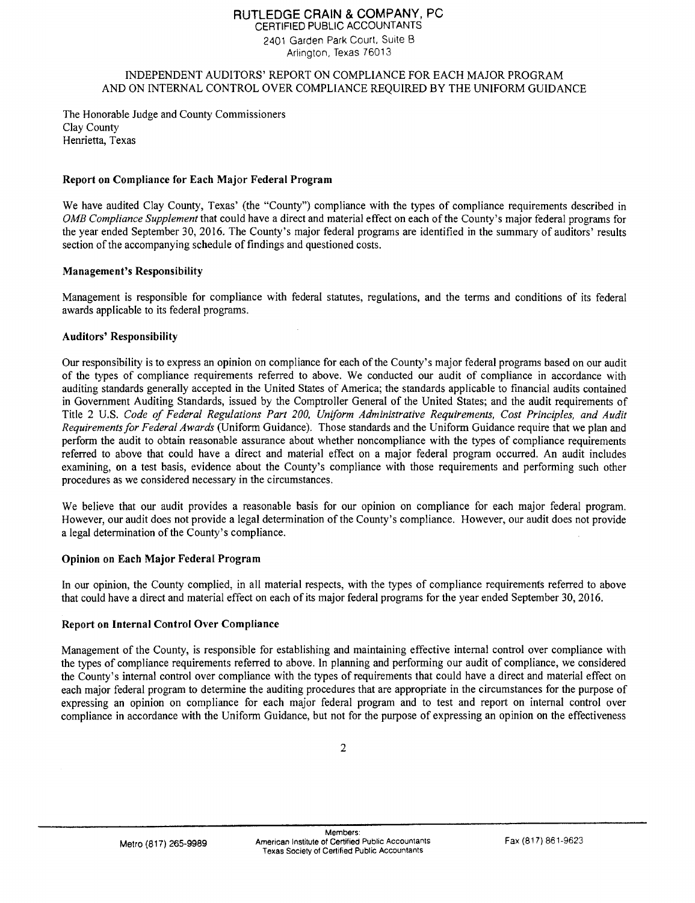# **RUTLEDGE CRAIN & COMPANY, PC**

CERTIFIED PUBLIC ACCOUNTANTS

2401 Garden Park Court. Suite B Arlington, Texas 76013

#### INDEPENDENT AUDITORS' REPORT ON COMPLIANCE FOR EACH MAJOR PROGRAM AND ON INTERNAL CONTROL OVER COMPLIANCE REQUIRED BY THE UNIFORM GUIDANCE

The Honorable Judge and County Commissioners Clay County Henrietta, Texas

#### **Report on Compliance for Each Major Federal Program**

We have audited Clay County, Texas' (the "County") compliance with the types of compliance requirements described in *OMB Compliance Supplement* that could have a direct and material effect on each of the County's major federal programs for the year ended September 30, 2016. The County's major federal programs are identified in the summary of auditors' results section of the accompanying schedule of findings and questioned costs.

#### **Management's Responsibility**

Management is responsible for compliance with federal statutes, regulations, and the terms and conditions of its federal awards applicable to its federal programs.

## **Auditors' Responsibility**

Our responsibility is to express an opinion on compliance for each of the County's major federal programs based on our audit of the types of compliance requirements referred to above. We conducted our audit of compliance in accordance with auditing standards generally accepted in the United States of America; the standards applicable to financial audits contained in Governrnent Auditing Standards, issued by the Comptroller General of the United States; and the audit requirements of Title 2 U.S. *Code of Federal Regulations Part 200, Uniform Administrative Requirements, Cost Principles, and Audit Requirements for Federal Awards* (Uniform Guidance). Those standards and the Uniform Guidance require that we plan and perform the audit to obtain reasonable assurance about whether noncompliance with the types of compliance requirements referred to above that could have a direct and material effect on a major federal program occurred. An audit includes examining, on a test basis, evidence about the County's compliance with those requirements and performing such other procedures as we considered necessary in the circumstances.

We believe that our audit provides a reasonable basis for our opinion on compliance for each major federal program. However, our audit does not provide a legal determination of the County's compliance. However, our audit does not provide a legal determination of the County's compliance.

#### **Opinion on Each Major Federal Program**

In our opinion, the County complied, in all material respects, with the types of compliance requirements referred to above that could have a direct and material effect on each of its major federal programs for the year ended September 30, 2016.

#### **Report on Internal Control Over Compliance**

Management of the County, is responsible for establishing and maintaining effective internal control over compliance with the types of compliance requirements referred to above. In planning and performing our audit of compliance, we considered the County's internal control over compliance with the types of requirements that could have a direct and material effect on each major federal program to determine the auditing procedures that are appropriate in the circumstances for the purpose of expressing an opinion on compliance for each major federal program and to test and report on internal control over compliance in accordance with the Uniform Guidance, but not for the purpose of expressing an opinion on the effectiveness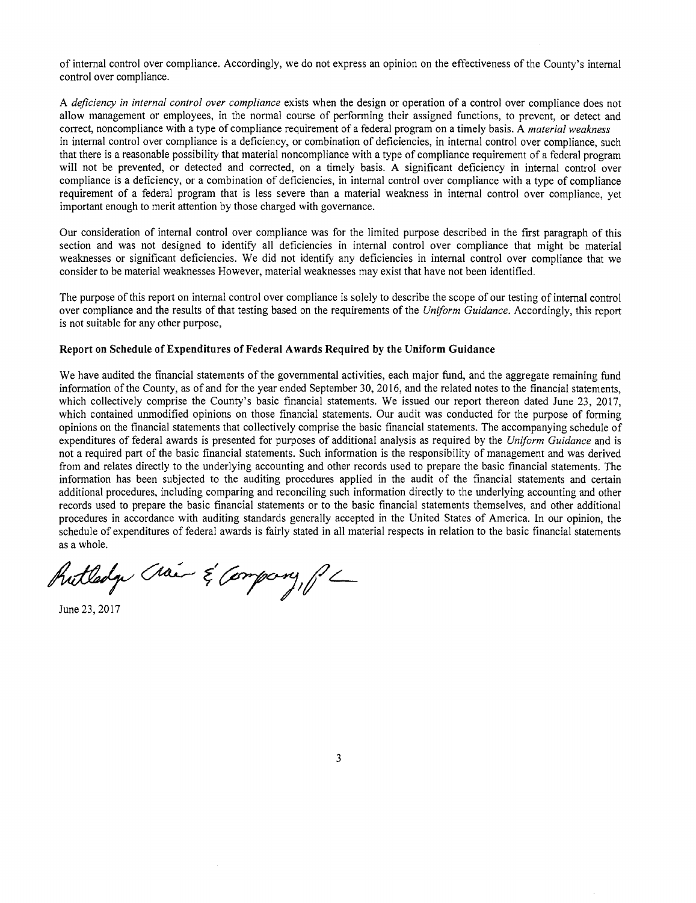of internal control over compliance. Accordingly, we do not express an opinion on the effectiveness of the County's internal control over compliance.

A *deficiency in internal control over compliance* exists when the design or operation of a control over compliance does not allow management or employees, in the normal course of performing their assigned functions, to prevent, or detect and correct, noncompliance with a type of compliance requirement of a federal program on a timely basis. A *material weakness*  in internal control over compliance is a deficiency, or combination of deficiencies, in internal control over compliance, such that there is a reasonable possibility that material noncompliance with a type of compliance requirement of a federal program will not be prevented, or detected and corrected, on a timely basis. A significant deficiency in internal control over compliance is a deficiency, or a combination of deficiencies, in internal control over compliance with a type of compliance requirement of a federal program that is less severe than a material weakness in internal control over compliance, yet important enough to merit attention by those charged with governance.

Our consideration of internal control over compliance was for the limited purpose described in the first paragraph of this section and was not designed to identify all deficiencies in internal control over compliance that might be material weaknesses or significant deficiencies. We did not identify any deficiencies in internal control over compliance that we consider to be material weaknesses However, material weaknesses may exist that have not been identified.

The purpose of this report on internal control over compliance is solely to describe the scope of our testing of internal control over compliance and the results of that testing based on the requirements of the *Uniform Guidance.* Accordingly, this report is not suitable for any other purpose,

#### **Report on Schedule of Expenditures of Federal Awards Required by the Uniform Guidance**

We have audited the financial statements of the governmental activities, each major fund, and the aggregate remaining fund information of the County, as of and for the year ended September 30,2016, and the related notes to the financial statements, which collectively comprise the County's basic financial statements. We issued our report thereon dated June 23, 2017, which contained unmodified opinions on those financial statements. Our audit was conducted for the purpose of forming opinions on the financial statements that collectively comprise the basic fmancial statements. The accompanying schedule of expenditures of federal awards is presented for purposes of additional analysis as required by the *Uniform Guidance* and is not a required part of the basic financial statements. Such information is the responsibility of management and was derived from and relates directly to the underlying accounting and other records used to prepare the basic financial statements. The information has been subjected to the auditing procedures applied in the audit of the fmancial statements and certain additional procedures, including comparing and reconciling such information directly to the underlying accounting and other records used to prepare the basic financial statements or to the basic financial statements themselves, and other additional procedures in accordance with auditing standards generally accepted in the United States of America. In our opinion, the schedule of expenditures of federal awards is fairly stated in all material respects in relation to the basic financial statements as a whole.

Rutledge Crain & Company, pl

June 23, 2017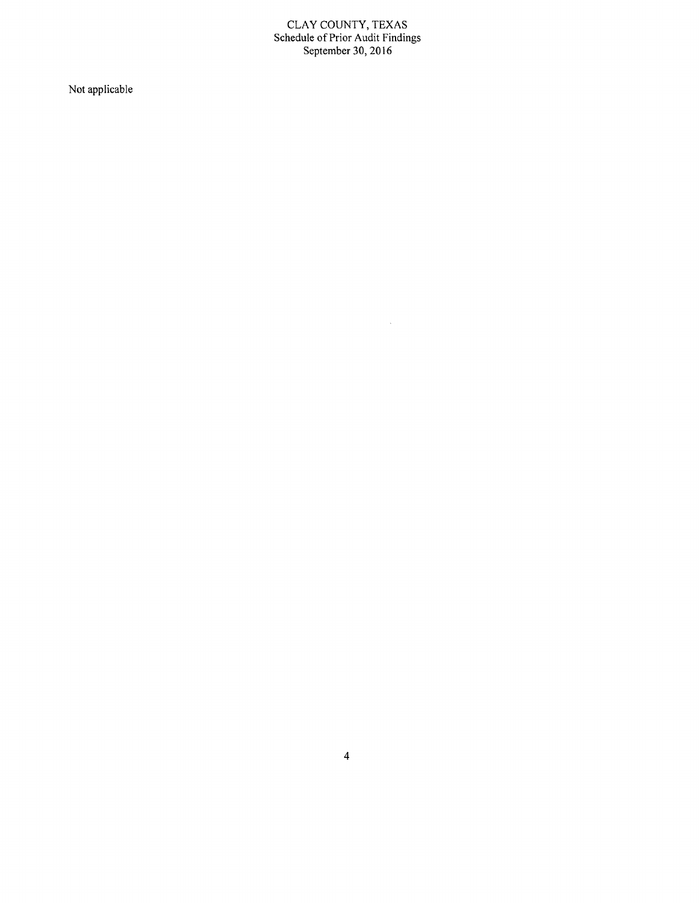#### CLAY COUNTY, TEXAS Schedule of Prior Audit Findings September 30, 2016

 $\sim$ 

Not applicable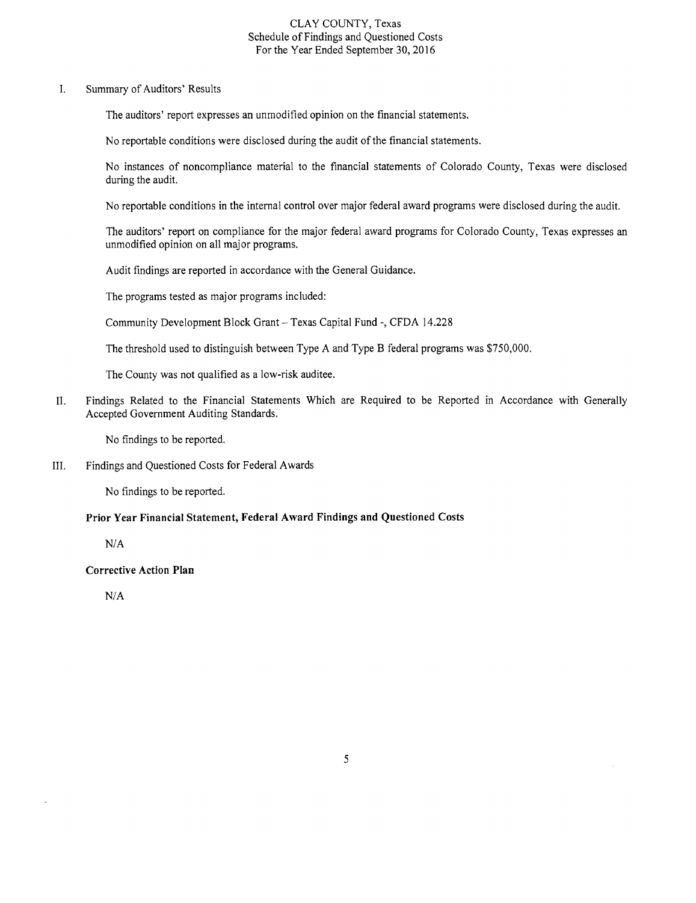#### CLAY COUNTY, Texas Schedule of Findings and Questioned Costs For the Year Ended September 30, 2016

#### I. Summary of Auditors' Results

The auditors' report expresses an unmodified opinion on the financial statements.

No reportable conditions were disclosed during the audit of the financial statements.

No instances of noncompliance material to the financial statements of Colorado County, Texas were disclosed during the audit.

No reportable conditions in the internal control over major federal award programs were disclosed during the audit.

The auditors' report on compliance for the major federal award programs for Colorado County, Texas expresses an unmodified opinion on all major programs.

Audit fmdings are reported in accordance with the General Guidance.

The programs tested as major programs included:

Community Development Block Grant- Texas Capital Fund -, CFDA 14.228

The threshold used to distinguish between Type A and Type B federal programs was \$750,000.

The County was not qualified as a low-risk auditee.

II. Findings Related to the Financial Statements Which are Required to be Reported in Accordance with Generally Accepted Government Auditing Standards.

No findings to be reported.

III. Findings and Questioned Costs for Federal Awards

No fmdings to be reported.

#### Prior Year Financial Statement, Federal Award Findings and Questioned Costs

N/A

Corrective Action Plan

N/A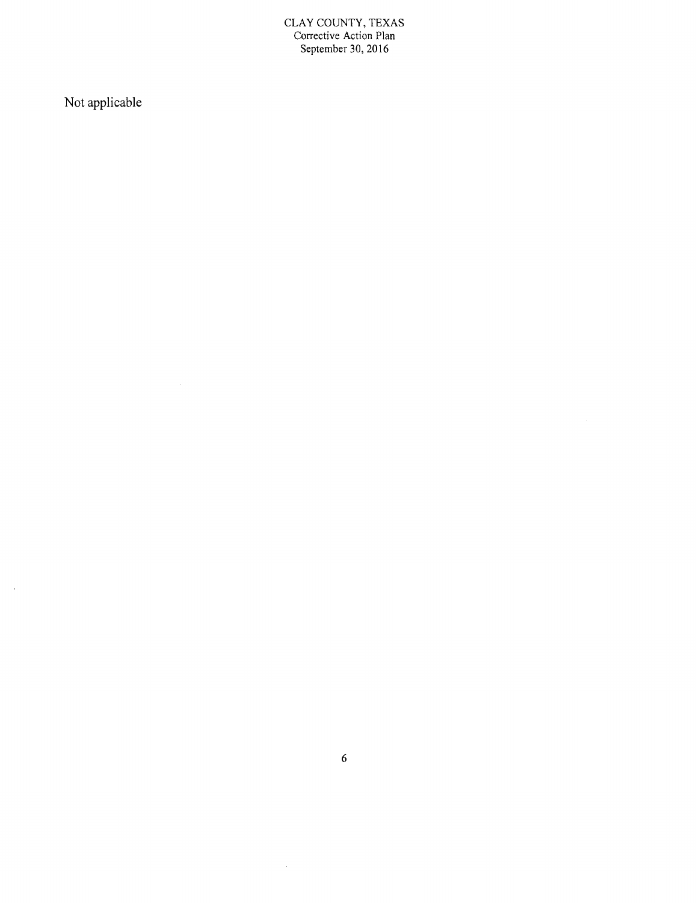CLAY COUNTY, TEXAS Corrective Action Plan September 30, 2016

Not applicable

 $\mathcal{A}^{\mathcal{A}}$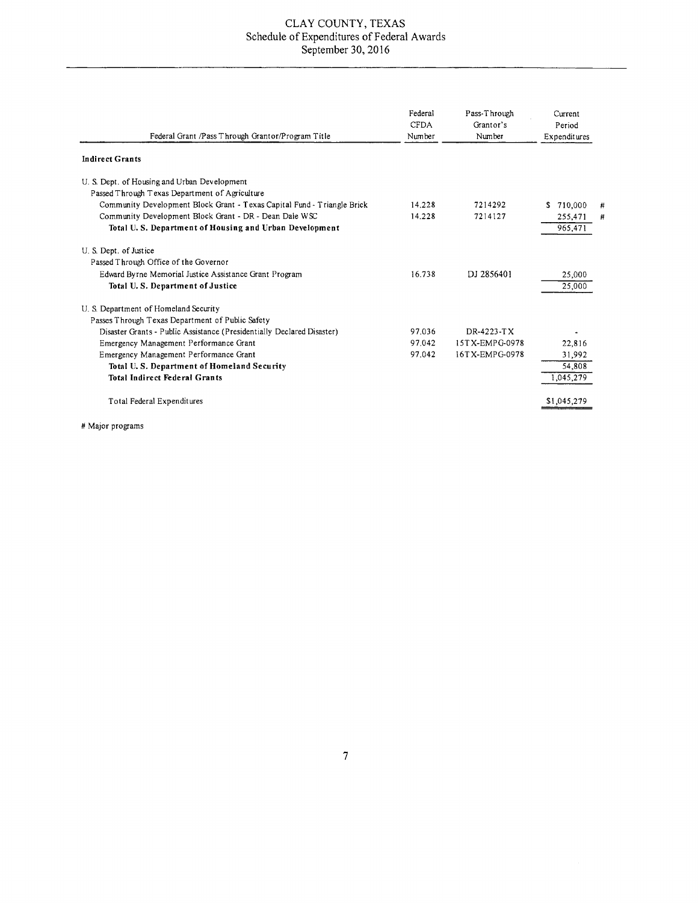#### CLAY COUNTY, TEXAS Schedule ofExpenditures of Federal Awards September 30, 2016

| Federal Grant /Pass Through Grantor/Program Title                       | Federal<br><b>CFDA</b><br>Number | Pass-Through<br>Grantor's<br>Number | Current<br>Period<br><b>Expenditures</b> |
|-------------------------------------------------------------------------|----------------------------------|-------------------------------------|------------------------------------------|
| <b>Indirect Grants</b>                                                  |                                  |                                     |                                          |
| U. S. Dept. of Housing and Urban Development                            |                                  |                                     |                                          |
| Passed Through Texas Department of Agriculture                          |                                  |                                     |                                          |
| Community Development Block Grant - Texas Capital Fund - Triangle Brick | 14.228                           | 7214292                             | \$.<br>710,000                           |
| Community Development Block Grant - DR - Dean Dale WSC                  | 14.228                           | 7214127                             | 255,471<br>#                             |
| Total U.S. Department of Housing and Urban Development                  |                                  |                                     | 965,471                                  |
| U. S. Dept. of Justice                                                  |                                  |                                     |                                          |
| Passed Through Office of the Governor                                   |                                  |                                     |                                          |
| Edward Byrne Memorial Justice Assistance Grant Program                  | 16.738                           | DJ 2856401                          | 25,000                                   |
| Total U.S. Department of Justice                                        |                                  |                                     | 25,000                                   |
| U. S. Department of Homeland Security                                   |                                  |                                     |                                          |
| Passes Through Texas Department of Public Safety                        |                                  |                                     |                                          |
| Disaster Grants - Public Assistance (Presidentially Declared Disaster)  | 97.036                           | DR-4223-TX                          |                                          |
| Emergency Management Performance Grant                                  | 97.042                           | 15TX-EMPG-0978                      | 22,816                                   |
| Emergency Management Performance Grant                                  | 97.042                           | 16TX-EMPG-0978                      | 31,992                                   |
| Total U.S. Department of Homeland Security                              |                                  |                                     | 54,808                                   |
| <b>Total Indirect Federal Grants</b>                                    |                                  |                                     | 1,045,279                                |
| Total Federal Expenditures                                              |                                  |                                     | \$1,045,279                              |

# Major programs